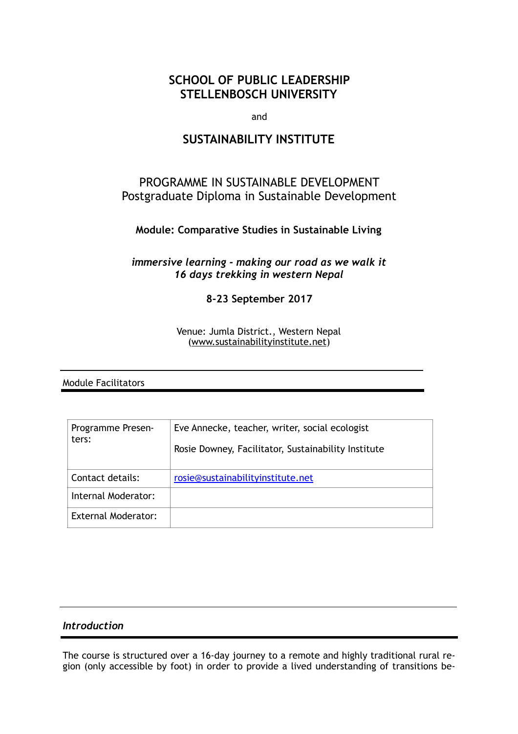# **SCHOOL OF PUBLIC LEADERSHIP STELLENBOSCH UNIVERSITY**

and

# **SUSTAINABILITY INSTITUTE**

# PROGRAMME IN SUSTAINABLE DEVELOPMENT Postgraduate Diploma in Sustainable Development

# **Module: Comparative Studies in Sustainable Living**

*immersive learning - making our road as we walk it 16 days trekking in western Nepal* 

**8-23 September 2017** 

Venue: Jumla District., Western Nepal [\(www.sustainabilityinstitute.net](http://www.sustainabilityinstitute.net))

Module Facilitators

| Programme Presen-<br>ters: | Eve Annecke, teacher, writer, social ecologist<br>Rosie Downey, Facilitator, Sustainability Institute |
|----------------------------|-------------------------------------------------------------------------------------------------------|
| Contact details:           | rosie@sustainabilityinstitute.net                                                                     |
| Internal Moderator:        |                                                                                                       |
| <b>External Moderator:</b> |                                                                                                       |

## *Introduction*

The course is structured over a 16-day journey to a remote and highly traditional rural region (only accessible by foot) in order to provide a lived understanding of transitions be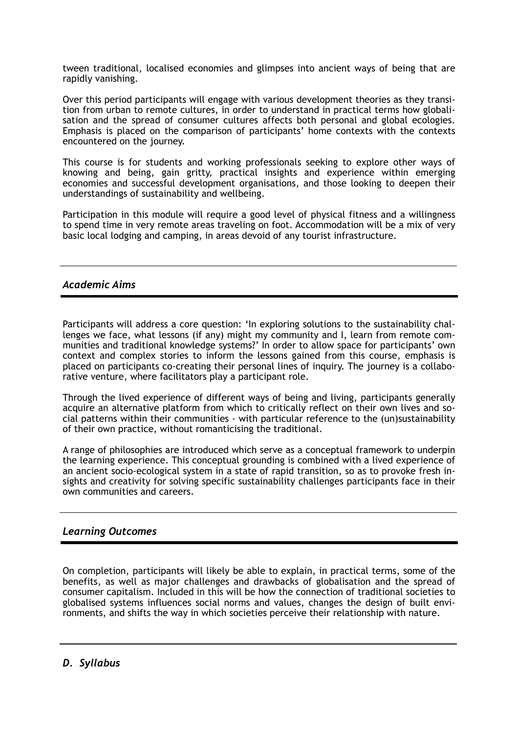tween traditional, localised economies and glimpses into ancient ways of being that are rapidly vanishing.

Over this period participants will engage with various development theories as they transition from urban to remote cultures, in order to understand in practical terms how globalisation and the spread of consumer cultures affects both personal and global ecologies. Emphasis is placed on the comparison of participants' home contexts with the contexts encountered on the journey.

This course is for students and working professionals seeking to explore other ways of knowing and being, gain gritty, practical insights and experience within emerging economies and successful development organisations, and those looking to deepen their understandings of sustainability and wellbeing.

Participation in this module will require a good level of physical fitness and a willingness to spend time in very remote areas traveling on foot. Accommodation will be a mix of very basic local lodging and camping, in areas devoid of any tourist infrastructure.

## *Academic Aims*

Participants will address a core question: 'In exploring solutions to the sustainability challenges we face, what lessons (if any) might my community and I, learn from remote communities and traditional knowledge systems?' In order to allow space for participants' own context and complex stories to inform the lessons gained from this course, emphasis is placed on participants co-creating their personal lines of inquiry. The journey is a collaborative venture, where facilitators play a participant role.

Through the lived experience of different ways of being and living, participants generally acquire an alternative platform from which to critically reflect on their own lives and social patterns within their communities - with particular reference to the (un)sustainability of their own practice, without romanticising the traditional.

A range of philosophies are introduced which serve as a conceptual framework to underpin the learning experience. This conceptual grounding is combined with a lived experience of an ancient socio-ecological system in a state of rapid transition, so as to provoke fresh insights and creativity for solving specific sustainability challenges participants face in their own communities and careers.

# *Learning Outcomes*

On completion, participants will likely be able to explain, in practical terms, some of the benefits, as well as major challenges and drawbacks of globalisation and the spread of consumer capitalism. Included in this will be how the connection of traditional societies to globalised systems influences social norms and values, changes the design of built environments, and shifts the way in which societies perceive their relationship with nature.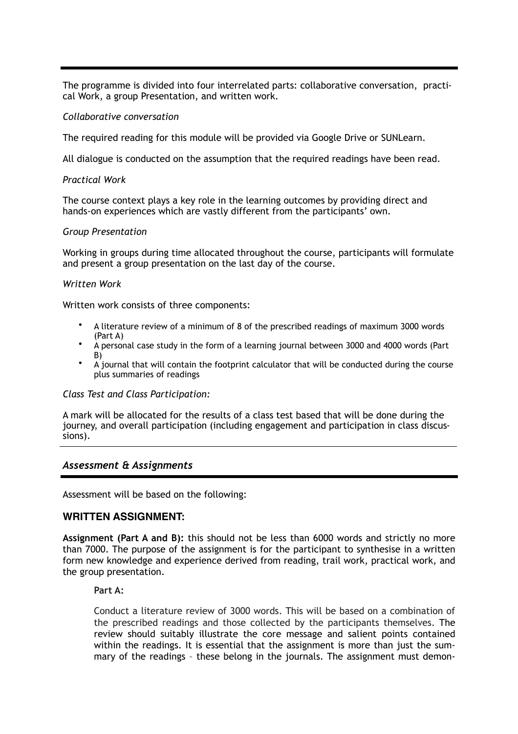The programme is divided into four interrelated parts: collaborative conversation, practical Work, a group Presentation, and written work.

#### *Collaborative conversation*

The required reading for this module will be provided via Google Drive or SUNLearn.

All dialogue is conducted on the assumption that the required readings have been read.

### *Practical Work*

The course context plays a key role in the learning outcomes by providing direct and hands-on experiences which are vastly different from the participants' own.

### *Group Presentation*

Working in groups during time allocated throughout the course, participants will formulate and present a group presentation on the last day of the course.

#### *Written Work*

Written work consists of three components:

- A literature review of a minimum of 8 of the prescribed readings of maximum 3000 words (Part A)
- A personal case study in the form of a learning journal between 3000 and 4000 words (Part B)
- A journal that will contain the footprint calculator that will be conducted during the course plus summaries of readings

#### *Class Test and Class Participation:*

A mark will be allocated for the results of a class test based that will be done during the journey, and overall participation (including engagement and participation in class discussions).

## *Assessment & Assignments*

Assessment will be based on the following:

#### **WRITTEN ASSIGNMENT:**

**Assignment (Part A and B):** this should not be less than 6000 words and strictly no more than 7000. The purpose of the assignment is for the participant to synthesise in a written form new knowledge and experience derived from reading, trail work, practical work, and the group presentation.

**Part A:** 

Conduct a literature review of 3000 words. This will be based on a combination of the prescribed readings and those collected by the participants themselves. The review should suitably illustrate the core message and salient points contained within the readings. It is essential that the assignment is more than just the summary of the readings – these belong in the journals. The assignment must demon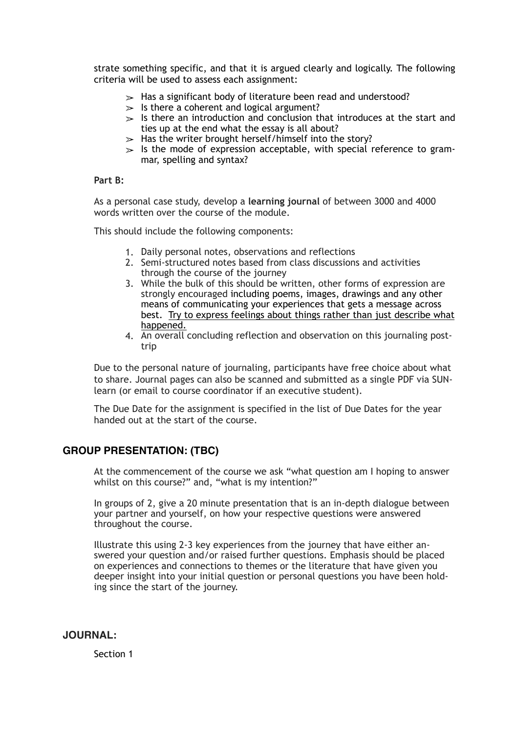strate something specific, and that it is argued clearly and logically. The following criteria will be used to assess each assignment:

- $\geq$  Has a significant body of literature been read and understood?
- $\geq$  Is there a coherent and logical argument?
- $\ge$  Is there an introduction and conclusion that introduces at the start and ties up at the end what the essay is all about?
- $\geq$  Has the writer brought herself/himself into the story?
- $>$  Is the mode of expression acceptable, with special reference to grammar, spelling and syntax?

### **Part B:**

As a personal case study, develop a **learning journal** of between 3000 and 4000 words written over the course of the module.

This should include the following components:

- 1. Daily personal notes, observations and reflections
- 2. Semi-structured notes based from class discussions and activities through the course of the journey
- 3. While the bulk of this should be written, other forms of expression are strongly encouraged including poems, images, drawings and any other means of communicating your experiences that gets a message across best. Try to express feelings about things rather than just describe what happened.
- 4. An overall concluding reflection and observation on this journaling posttrip

Due to the personal nature of journaling, participants have free choice about what to share. Journal pages can also be scanned and submitted as a single PDF via SUNlearn (or email to course coordinator if an executive student).

The Due Date for the assignment is specified in the list of Due Dates for the year handed out at the start of the course.

# **GROUP PRESENTATION: (TBC)**

At the commencement of the course we ask "what question am I hoping to answer whilst on this course?" and, "what is my intention?"

In groups of 2, give a 20 minute presentation that is an in-depth dialogue between your partner and yourself, on how your respective questions were answered throughout the course.

Illustrate this using 2-3 key experiences from the journey that have either answered your question and/or raised further questions. Emphasis should be placed on experiences and connections to themes or the literature that have given you deeper insight into your initial question or personal questions you have been holding since the start of the journey.

## **JOURNAL:**

Section 1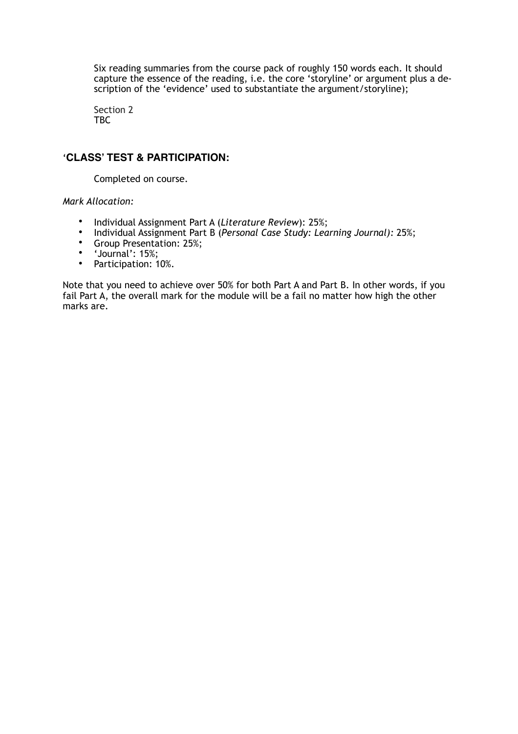Six reading summaries from the course pack of roughly 150 words each. It should capture the essence of the reading, i.e. the core 'storyline' or argument plus a description of the 'evidence' used to substantiate the argument/storyline);

Section 2 TBC

# '**CLASS' TEST & PARTICIPATION:**

Completed on course.

*Mark Allocation:* 

- Individual Assignment Part A (*Literature Review*): 25%;
- Individual Assignment Part B (*Personal Case Study: Learning Journal):* 25%;
- Group Presentation: 25%;
- $\bullet$  'Journal': 15%;
- Participation: 10%.

Note that you need to achieve over 50% for both Part A and Part B. In other words, if you fail Part A, the overall mark for the module will be a fail no matter how high the other marks are.